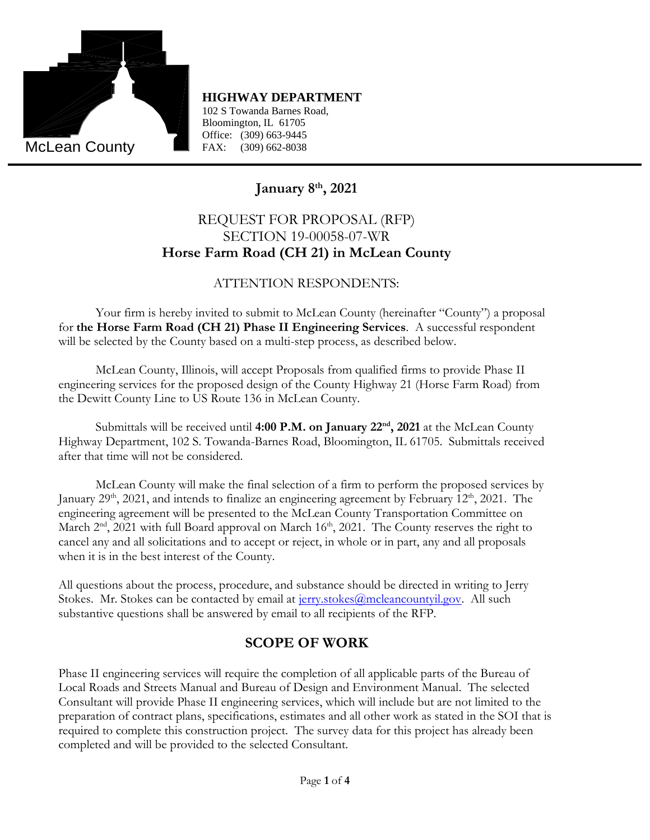

102 S Towanda Barnes Road, Bloomington, IL 61705 Office: (309) 663-9445 FAX: (309) 662-8038

# **January 8 th, 2021**

## REQUEST FOR PROPOSAL (RFP) SECTION 19-00058-07-WR **Horse Farm Road (CH 21) in McLean County**

#### ATTENTION RESPONDENTS:

Your firm is hereby invited to submit to McLean County (hereinafter "County") a proposal for **the Horse Farm Road (CH 21) Phase II Engineering Services**. A successful respondent will be selected by the County based on a multi-step process, as described below.

McLean County, Illinois, will accept Proposals from qualified firms to provide Phase II engineering services for the proposed design of the County Highway 21 (Horse Farm Road) from the Dewitt County Line to US Route 136 in McLean County.

Submittals will be received until **4:00 P.M. on January 22nd, 2021** at the McLean County Highway Department, 102 S. Towanda-Barnes Road, Bloomington, IL 61705. Submittals received after that time will not be considered.

McLean County will make the final selection of a firm to perform the proposed services by January 29<sup>th</sup>, 2021, and intends to finalize an engineering agreement by February 12<sup>th</sup>, 2021. The engineering agreement will be presented to the McLean County Transportation Committee on March 2<sup>nd</sup>, 2021 with full Board approval on March 16<sup>th</sup>, 2021. The County reserves the right to cancel any and all solicitations and to accept or reject, in whole or in part, any and all proposals when it is in the best interest of the County.

All questions about the process, procedure, and substance should be directed in writing to Jerry Stokes. Mr. Stokes can be contacted by email at  $\frac{1}{1}$  erry.stokes  $\omega$  mcleancountyil.gov. All such substantive questions shall be answered by email to all recipients of the RFP.

### **SCOPE OF WORK**

Phase II engineering services will require the completion of all applicable parts of the Bureau of Local Roads and Streets Manual and Bureau of Design and Environment Manual. The selected Consultant will provide Phase II engineering services, which will include but are not limited to the preparation of contract plans, specifications, estimates and all other work as stated in the SOI that is required to complete this construction project. The survey data for this project has already been completed and will be provided to the selected Consultant.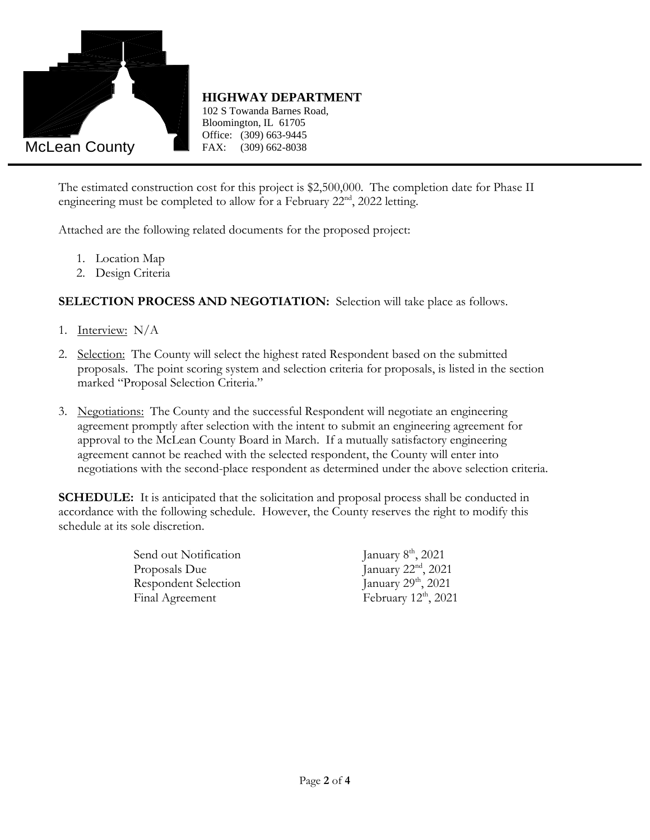

102 S Towanda Barnes Road, Bloomington, IL 61705 Office: (309) 663-9445 (309) 662-8038

The estimated construction cost for this project is \$2,500,000. The completion date for Phase II engineering must be completed to allow for a February  $22<sup>nd</sup>$ ,  $2022$  letting.

Attached are the following related documents for the proposed project:

- 1. Location Map
- 2. Design Criteria

**SELECTION PROCESS AND NEGOTIATION:** Selection will take place as follows.

- 1. Interview: N/A
- 2. Selection: The County will select the highest rated Respondent based on the submitted proposals. The point scoring system and selection criteria for proposals, is listed in the section marked "Proposal Selection Criteria."
- 3. Negotiations: The County and the successful Respondent will negotiate an engineering agreement promptly after selection with the intent to submit an engineering agreement for approval to the McLean County Board in March. If a mutually satisfactory engineering agreement cannot be reached with the selected respondent, the County will enter into negotiations with the second-place respondent as determined under the above selection criteria.

**SCHEDULE:** It is anticipated that the solicitation and proposal process shall be conducted in accordance with the following schedule. However, the County reserves the right to modify this schedule at its sole discretion.

> Send out Notification Proposals Due January  $22<sup>nd</sup>$ ,  $2021$ Respondent Selection January 29<sup>th</sup>, 2021 Final Agreement February 12<sup>th</sup>, 2021

January  $8<sup>th</sup>$ , 2021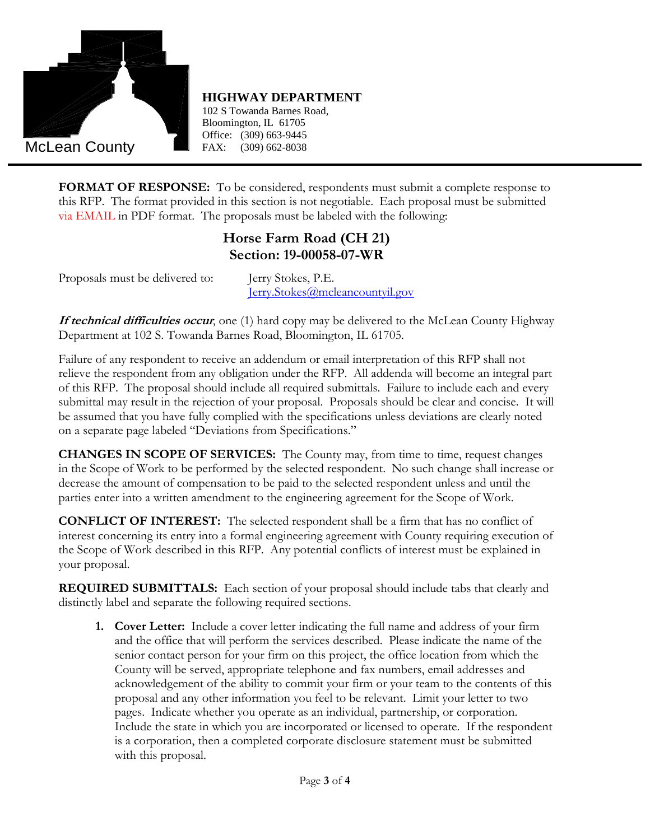

102 S Towanda Barnes Road, Bloomington, IL 61705 Office: (309) 663-9445 (309) 662-8038

**FORMAT OF RESPONSE:** To be considered, respondents must submit a complete response to this RFP. The format provided in this section is not negotiable. Each proposal must be submitted via EMAIL in PDF format. The proposals must be labeled with the following:

#### **Horse Farm Road (CH 21) Section: 19-00058-07-WR**

Proposals must be delivered to: Jerry Stokes, P.E.

[Jerry.Stokes@mcleancountyil.gov](mailto:Jerry.Stokes@mcleancountyil.gov)

**If technical difficulties occur**, one (1) hard copy may be delivered to the McLean County Highway Department at 102 S. Towanda Barnes Road, Bloomington, IL 61705.

Failure of any respondent to receive an addendum or email interpretation of this RFP shall not relieve the respondent from any obligation under the RFP. All addenda will become an integral part of this RFP. The proposal should include all required submittals. Failure to include each and every submittal may result in the rejection of your proposal. Proposals should be clear and concise. It will be assumed that you have fully complied with the specifications unless deviations are clearly noted on a separate page labeled "Deviations from Specifications."

**CHANGES IN SCOPE OF SERVICES:** The County may, from time to time, request changes in the Scope of Work to be performed by the selected respondent. No such change shall increase or decrease the amount of compensation to be paid to the selected respondent unless and until the parties enter into a written amendment to the engineering agreement for the Scope of Work.

**CONFLICT OF INTEREST:** The selected respondent shall be a firm that has no conflict of interest concerning its entry into a formal engineering agreement with County requiring execution of the Scope of Work described in this RFP. Any potential conflicts of interest must be explained in your proposal.

**REQUIRED SUBMITTALS:** Each section of your proposal should include tabs that clearly and distinctly label and separate the following required sections.

**1. Cover Letter:** Include a cover letter indicating the full name and address of your firm and the office that will perform the services described. Please indicate the name of the senior contact person for your firm on this project, the office location from which the County will be served, appropriate telephone and fax numbers, email addresses and acknowledgement of the ability to commit your firm or your team to the contents of this proposal and any other information you feel to be relevant. Limit your letter to two pages. Indicate whether you operate as an individual, partnership, or corporation. Include the state in which you are incorporated or licensed to operate. If the respondent is a corporation, then a completed corporate disclosure statement must be submitted with this proposal.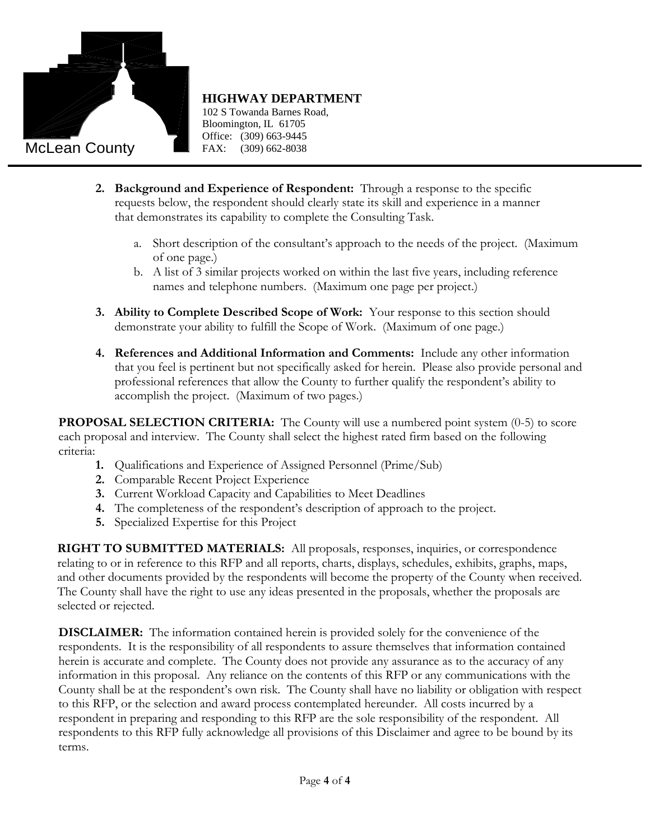

102 S Towanda Barnes Road, Bloomington, IL 61705 Office: (309) 663-9445  $(309)$  662-8038

- **2. Background and Experience of Respondent:** Through a response to the specific requests below, the respondent should clearly state its skill and experience in a manner that demonstrates its capability to complete the Consulting Task.
	- a. Short description of the consultant's approach to the needs of the project. (Maximum of one page.)
	- b. A list of 3 similar projects worked on within the last five years, including reference names and telephone numbers. (Maximum one page per project.)
- **3. Ability to Complete Described Scope of Work:** Your response to this section should demonstrate your ability to fulfill the Scope of Work. (Maximum of one page.)
- **4. References and Additional Information and Comments:** Include any other information that you feel is pertinent but not specifically asked for herein. Please also provide personal and professional references that allow the County to further qualify the respondent's ability to accomplish the project. (Maximum of two pages.)

**PROPOSAL SELECTION CRITERIA:** The County will use a numbered point system (0-5) to score each proposal and interview. The County shall select the highest rated firm based on the following criteria:

- **1.** Qualifications and Experience of Assigned Personnel (Prime/Sub)
- **2.** Comparable Recent Project Experience
- **3.** Current Workload Capacity and Capabilities to Meet Deadlines
- **4.** The completeness of the respondent's description of approach to the project.
- **5.** Specialized Expertise for this Project

**RIGHT TO SUBMITTED MATERIALS:** All proposals, responses, inquiries, or correspondence relating to or in reference to this RFP and all reports, charts, displays, schedules, exhibits, graphs, maps, and other documents provided by the respondents will become the property of the County when received. The County shall have the right to use any ideas presented in the proposals, whether the proposals are selected or rejected.

**DISCLAIMER:** The information contained herein is provided solely for the convenience of the respondents. It is the responsibility of all respondents to assure themselves that information contained herein is accurate and complete. The County does not provide any assurance as to the accuracy of any information in this proposal. Any reliance on the contents of this RFP or any communications with the County shall be at the respondent's own risk. The County shall have no liability or obligation with respect to this RFP, or the selection and award process contemplated hereunder. All costs incurred by a respondent in preparing and responding to this RFP are the sole responsibility of the respondent. All respondents to this RFP fully acknowledge all provisions of this Disclaimer and agree to be bound by its terms.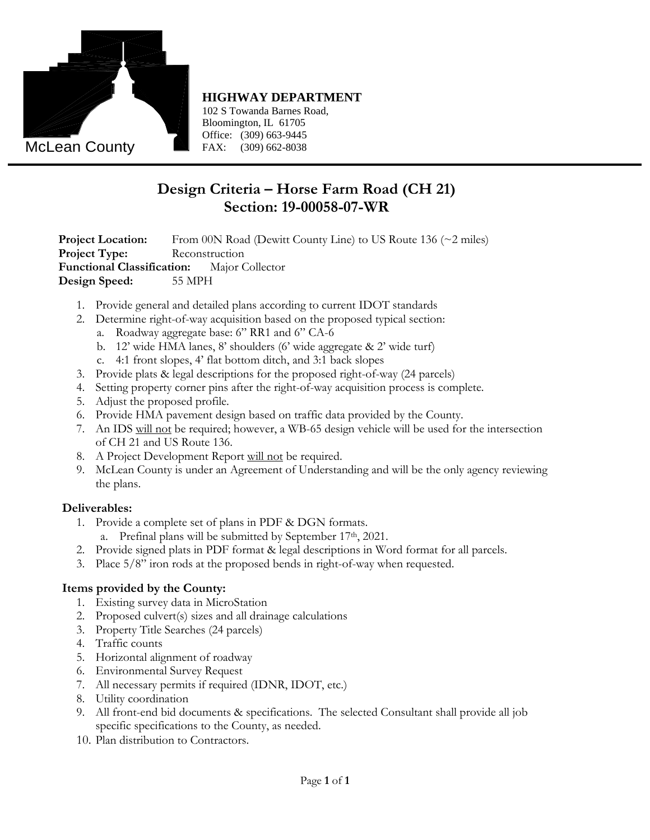

102 S Towanda Barnes Road, Bloomington, IL 61705 Office: (309) 663-9445 FAX: (309) 662-8038

# **Design Criteria – Horse Farm Road (CH 21) Section: 19-00058-07-WR**

**Project Location:** From 00N Road (Dewitt County Line) to US Route 136 (~2 miles) **Project Type:** Reconstruction **Functional Classification:** Major Collector **Design Speed:** 55 MPH

- 1. Provide general and detailed plans according to current IDOT standards
- 2. Determine right-of-way acquisition based on the proposed typical section:
	- a. Roadway aggregate base: 6" RR1 and 6" CA-6
	- b. 12' wide HMA lanes, 8' shoulders (6' wide aggregate & 2' wide turf)
	- c. 4:1 front slopes, 4' flat bottom ditch, and 3:1 back slopes
- 3. Provide plats & legal descriptions for the proposed right-of-way (24 parcels)
- 4. Setting property corner pins after the right-of-way acquisition process is complete.
- 5. Adjust the proposed profile.
- 6. Provide HMA pavement design based on traffic data provided by the County.
- 7. An IDS will not be required; however, a WB-65 design vehicle will be used for the intersection of CH 21 and US Route 136.
- 8. A Project Development Report will not be required.
- 9. McLean County is under an Agreement of Understanding and will be the only agency reviewing the plans.

#### **Deliverables:**

- 1. Provide a complete set of plans in PDF & DGN formats.
	- a. Prefinal plans will be submitted by September 17<sup>th</sup>, 2021.
- 2. Provide signed plats in PDF format & legal descriptions in Word format for all parcels.
- 3. Place 5/8" iron rods at the proposed bends in right-of-way when requested.

#### **Items provided by the County:**

- 1. Existing survey data in MicroStation
- 2. Proposed culvert(s) sizes and all drainage calculations
- 3. Property Title Searches (24 parcels)
- 4. Traffic counts
- 5. Horizontal alignment of roadway
- 6. Environmental Survey Request
- 7. All necessary permits if required (IDNR, IDOT, etc.)
- 8. Utility coordination
- 9. All front-end bid documents & specifications. The selected Consultant shall provide all job specific specifications to the County, as needed.
- 10. Plan distribution to Contractors.